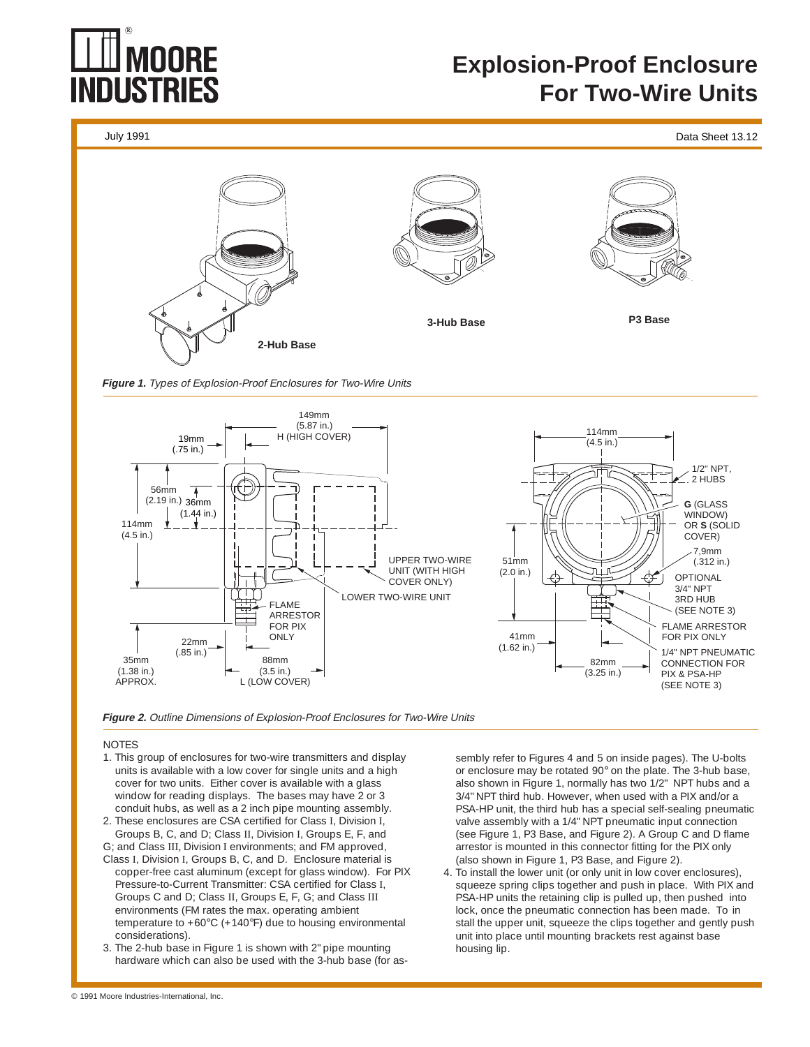# NDI ISTRI

## **Explosion-Proof Enclosure For Two-Wire Units**

July 1991 Data Sheet 13.12



**Figure 1.** Types of Explosion-Proof Enclosures for Two-Wire Units





#### **NOTES**

- 1. This group of enclosures for two-wire transmitters and display units is available with a low cover for single units and a high cover for two units. Either cover is available with a glass window for reading displays. The bases may have 2 or 3 conduit hubs, as well as a 2 inch pipe mounting assembly.
- 2. These enclosures are CSA certified for Class I, Division I, Groups B, C, and D; Class II, Division I, Groups E, F, and
- G; and Class III, Division I environments; and FM approved, Class I, Division I, Groups B, C, and D. Enclosure material is copper-free cast aluminum (except for glass window). For PIX Pressure-to-Current Transmitter: CSA certified for Class I, Groups C and D; Class II, Groups E, F, G; and Class III environments (FM rates the max. operating ambient temperature to +60°C (+140°F) due to housing environmental considerations).
- 3. The 2-hub base in Figure 1 is shown with 2" pipe mounting hardware which can also be used with the 3-hub base (for as-

sembly refer to Figures 4 and 5 on inside pages). The U-bolts or enclosure may be rotated 90° on the plate. The 3-hub base, also shown in Figure 1, normally has two 1/2" NPT hubs and a 3/4" NPT third hub. However, when used with a PIX and/or a PSA-HP unit, the third hub has a special self-sealing pneumatic valve assembly with a 1/4" NPT pneumatic input connection (see Figure 1, P3 Base, and Figure 2). A Group C and D flame arrestor is mounted in this connector fitting for the PIX only (also shown in Figure 1, P3 Base, and Figure 2).

4. To install the lower unit (or only unit in low cover enclosures), squeeze spring clips together and push in place. With PIX and PSA-HP units the retaining clip is pulled up, then pushed into lock, once the pneumatic connection has been made. To in stall the upper unit, squeeze the clips together and gently push unit into place until mounting brackets rest against base housing lip.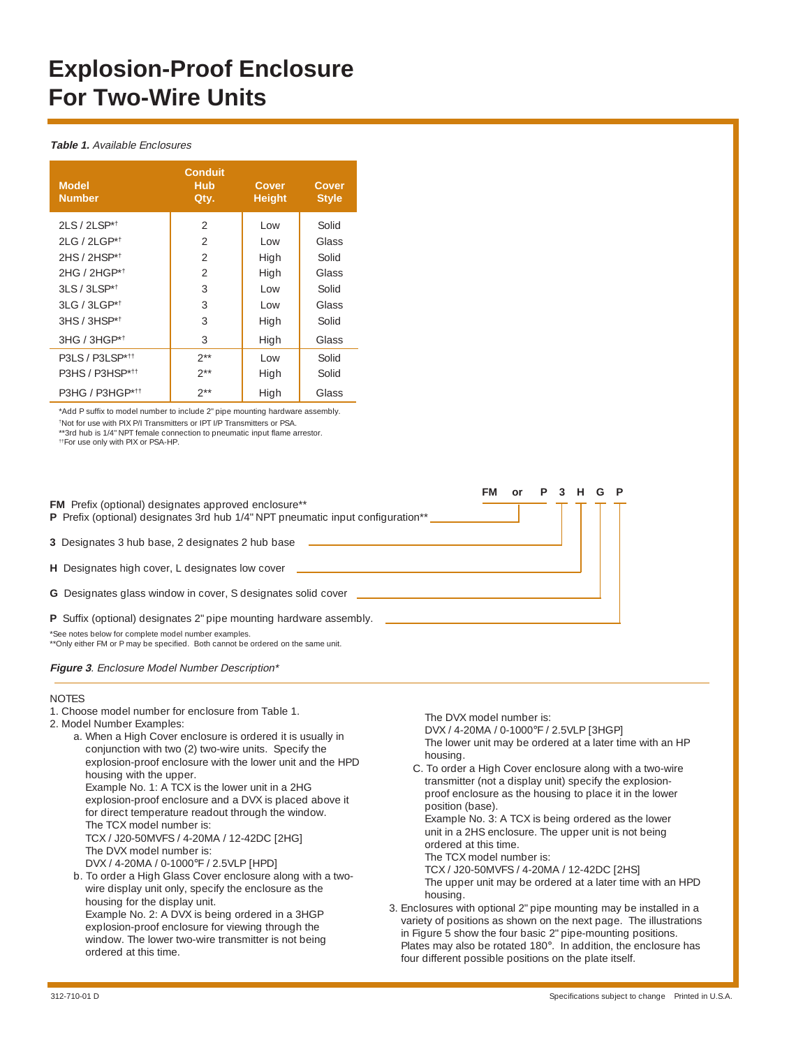## **Explosion-Proof Enclosure For Two-Wire Units**

#### **Table 1.** Available Enclosures

| <b>Model</b><br><b>Number</b> | <b>Conduit</b><br>Hub<br>Qty. | Cover<br><b>Height</b> | Cover<br><b>Style</b> |
|-------------------------------|-------------------------------|------------------------|-----------------------|
| $21 S / 21 S P^{*+}$          | 2                             | l ow                   | Solid                 |
| 2LG / 2LGP*1                  | $\mathfrak{D}$                | l ow                   | Glass                 |
| 2HS / 2HSP*1                  | 2                             | High                   | Solid                 |
| $2HG / 2HGP*†$                | $\mathfrak{D}$                | High                   | Glass                 |
| 3LS / 3LSP*1                  | 3                             | l ow                   | Solid                 |
| $31 G / 31 G P^{*+}$          | 3                             | l ow                   | Glass                 |
| $3HS / 3HSP*†$                | 3                             | High                   | Solid                 |
| 3HG / 3HGP*1                  | 3                             | High                   | Glass                 |
| P3LS / P3LSP* <sup>11</sup>   | $2**$                         | l ow                   | Solid                 |
| P3HS / P3HSP* <sup>11</sup>   | $2**$                         | High                   | Solid                 |
| P3HG / P3HGP* <sup>††</sup>   | $2**$                         | High                   | Glass                 |

\*Add P suffix to model number to include 2" pipe mounting hardware assembly. †Not for use with PIX P/I Transmitters or IPT I/P Transmitters or PSA. \*\*3rd hub is 1/4" NPT female connection to pneumatic input flame arrestor.

††For use only with PIX or PSA-HP.

**FM or P 3 H G P** FM Prefix (optional) designates approved enclosure\*\* **P** Prefix (optional) designates 3rd hub 1/4" NPT pneumatic input configuration\*\* **3** Designates 3 hub base, 2 designates 2 hub base **H** Designates high cover, L designates low cover **G** Designates glass window in cover, S designates solid cover **P** Suffix (optional) designates 2" pipe mounting hardware assembly. \*See notes below for complete model number examples. \*\*Only either FM or P may be specified. Both cannot be ordered on the same unit.

**Figure 3**. Enclosure Model Number Description\*

#### **NOTES**

- 1. Choose model number for enclosure from Table 1.
- 2. Model Number Examples:
	- a. When a High Cover enclosure is ordered it is usually in conjunction with two (2) two-wire units. Specify the explosion-proof enclosure with the lower unit and the HPD housing with the upper. Example No. 1: A TCX is the lower unit in a 2HG explosion-proof enclosure and a DVX is placed above it for direct temperature readout through the window. The TCX model number is: TCX / J20-50MVFS / 4-20MA / 12-42DC [2HG] The DVX model number is: DVX / 4-20MA / 0-1000°F / 2.5VLP [HPD] b. To order a High Glass Cover enclosure along with a twowire display unit only, specify the enclosure as the

housing for the display unit. Example No. 2: A DVX is being ordered in a 3HGP explosion-proof enclosure for viewing through the window. The lower two-wire transmitter is not being ordered at this time.

The DVX model number is:

DVX / 4-20MA / 0-1000°F / 2.5VLP [3HGP]

The lower unit may be ordered at a later time with an HP housing.

C. To order a High Cover enclosure along with a two-wire transmitter (not a display unit) specify the explosionproof enclosure as the housing to place it in the lower position (base).

Example No. 3: A TCX is being ordered as the lower unit in a 2HS enclosure. The upper unit is not being ordered at this time.

The TCX model number is:

TCX / J20-50MVFS / 4-20MA / 12-42DC [2HS] The upper unit may be ordered at a later time with an HPD housing.

3. Enclosures with optional 2" pipe mounting may be installed in a variety of positions as shown on the next page. The illustrations in Figure 5 show the four basic 2" pipe-mounting positions. Plates may also be rotated 180°. In addition, the enclosure has four different possible positions on the plate itself.